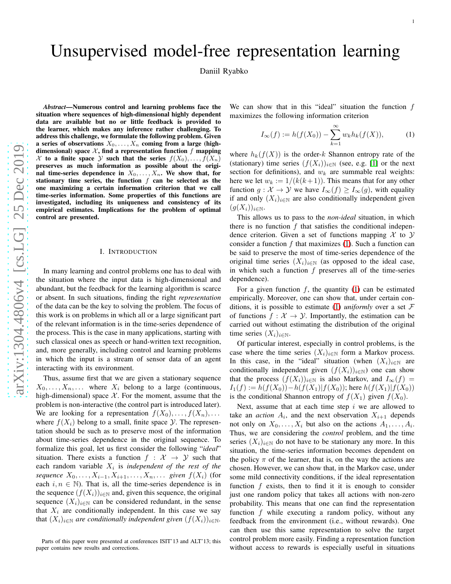# Unsupervised model-free representation learning

Daniil Ryabko

*Abstract*—Numerous control and learning problems face the situation where sequences of high-dimensional highly dependent data are available but no or little feedback is provided to the learner, which makes any inference rather challenging. To address this challenge, we formulate the following problem. Given a series of observations  $X_0, \ldots, X_n$  coming from a large (highdimensional) space  $\mathcal{X}$ , find a representation function f mapping X to a finite space Y such that the series  $f(X_0), \ldots, f(X_n)$ preserves as much information as possible about the original time-series dependence in  $X_0, \ldots, X_n$ . We show that, for stationary time series, the function  $f$  can be selected as the one maximizing a certain information criterion that we call time-series information. Some properties of this functions are investigated, including its uniqueness and consistency of its empirical estimates. Implications for the problem of optimal control are presented.

## I. INTRODUCTION

In many learning and control problems one has to deal with the situation where the input data is high-dimensional and abundant, but the feedback for the learning algorithm is scarce or absent. In such situations, finding the right *representation* of the data can be the key to solving the problem. The focus of this work is on problems in which all or a large significant par t of the relevant information is in the time-series dependence of the process. This is the case in many applications, starting with such classical ones as speech or hand-written text recognition, and, more generally, including control and learning problems in which the input is a stream of sensor data of an agent interacting with its environment.

Thus, assume first that we are given a stationary sequence  $X_0, \ldots, X_n, \ldots$  where  $X_i$  belong to a large (continuous, high-dimensional) space  $X$ . For the moment, assume that the problem is non-interactive (the control part is introduced later). We are looking for a representation  $f(X_0), \ldots, f(X_n), \ldots$ where  $f(X_i)$  belong to a small, finite space  $Y$ . The representation should be such as to preserve most of the information about time-series dependence in the original sequence. To formalize this goal, let us first consider the following "*ideal* " situation. There exists a function  $f : \mathcal{X} \to \mathcal{Y}$  such that each random variable  $X_i$  is *independent of the rest of the* sequence  $X_0, \ldots, X_{i-1}, X_{i+1}, \ldots, X_n, \ldots$  given  $f(X_i)$  (for each  $i, n \in \mathbb{N}$ ). That is, all the time-series dependence is in the sequence  $(f(X_i))_{i \in \mathbb{N}}$  and, given this sequence, the original sequence  $(X_i)_{i \in \mathbb{N}}$  can be considered redundant, in the sense that  $X_i$  are conditionally independent. In this case we say that  $(X_i)_{i\in\mathbb{N}}$  are conditionally independent given  $(f(X_i))_{i\in\mathbb{N}}$ .

We can show that in this "ideal" situation the function  $f$ maximizes the following information criterion

<span id="page-0-0"></span>
$$
I_{\infty}(f) := h(f(X_0)) - \sum_{k=1}^{\infty} w_k h_k(f(X)),
$$
 (1)

where  $h_k(f(X))$  is the order-k Shannon entropy rate of the (stationary) time series  $(f(X_i))_{i \in \mathbb{N}}$  (see, e.g. [\[1\]](#page-10-0) or the next section for definitions), and  $w_k$  are summable real weights: here we let  $w_k := 1/(k(k+1))$ . This means that for any other function  $g: \mathcal{X} \to \mathcal{Y}$  we have  $I_{\infty}(f) \geq I_{\infty}(g)$ , with equality if and only  $(X_i)_{i \in \mathbb{N}}$  are also conditionally independent given  $(g(X_i))_{i\in\mathbb{N}}$ .

This allows us to pass to the *non-ideal* situation, in which there is no function  $f$  that satisfies the conditional independence criterion. Given a set of functions mapping  $\mathcal X$  to  $\mathcal Y$ consider a function  $f$  that maximizes [\(1\)](#page-0-0). Such a function can be said to preserve the most of time-series dependence of the original time series  $(X_i)_{i \in \mathbb{N}}$  (as opposed to the ideal case, in which such a function  $f$  preserves all of the time-series dependence).

For a given function  $f$ , the quantity [\(1\)](#page-0-0) can be estimated empirically. Moreover, one can show that, under certain con ditions, it is possible to estimate [\(1\)](#page-0-0) *uniformly* over a set F of functions  $f: \mathcal{X} \to \mathcal{Y}$ . Importantly, the estimation can be carried out without estimating the distribution of the original time series  $(X_i)_{i \in \mathbb{N}}$ .

Of particular interest, especially in control problems, is the case where the time series  $(X_i)_{i \in \mathbb{N}}$  form a Markov process. In this case, in the "ideal" situation (when  $(X_i)_{i \in \mathbb{N}}$  are conditionally independent given  $(f(X_i))_{i \in \mathbb{N}}$  one can show that the process  $(f(X_i))_{i\in\mathbb{N}}$  is also Markov, and  $I_\infty(f) =$  $I_1(f) := h(f(X_0)) - h(f(X_1)|f(X_0))$ ; here  $h(f(X_1)|f(X_0))$ is the conditional Shannon entropy of  $f(X_1)$  given  $f(X_0)$ .

Next, assume that at each time step  $i$  we are allowed to take an *action*  $A_i$ , and the next observation  $X_{i+1}$  depends not only on  $X_0, \ldots, X_i$  but also on the actions  $A_1, \ldots, A_i$ . Thus, we are considering the *control* problem, and the time series  $(X_i)_{i \in \mathbb{N}}$  do not have to be stationary any more. In this situation, the time-series information becomes dependent on the policy  $\pi$  of the learner, that is, on the way the actions are chosen. However, we can show that, in the Markov case, under some mild connectivity conditions, if the ideal representation function  $f$  exists, then to find it it is enough to consider just one random policy that takes all actions with non-zero probability. This means that one can find the representation function  $f$  while executing a random policy, without any feedback from the environment (i.e., without rewards). One can then use this same representation to solve the target control problem more easily. Finding a representation function without access to rewards is especially useful in situation s

Parts of this paper were presented at conferences ISIT'13 and ALT'13; this paper contains new results and corrections.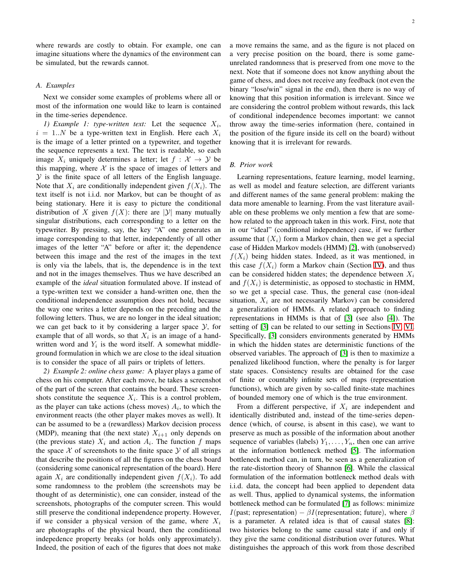where rewards are costly to obtain. For example, one can imagine situations where the dynamics of the environment can be simulated, but the rewards cannot.

# *A. Examples*

Next we consider some examples of problems where all or most of the information one would like to learn is contained in the time-series dependence.

1) Example 1: type-written text: Let the sequence  $X_i$ ,  $i = 1..N$  be a type-written text in English. Here each  $X_i$ is the image of a letter printed on a typewriter, and together the sequence represents a text. The text is readable, so each image  $X_i$  uniquely determines a letter; let  $f : \mathcal{X} \to \mathcal{Y}$  be this mapping, where  $X$  is the space of images of letters and  $Y$  is the finite space of all letters of the English language. Note that  $X_i$  are conditionally independent given  $f(X_i)$ . The text itself is not i.i.d. nor Markov, but can be thought of as being stationary. Here it is easy to picture the conditional distribution of X given  $f(X)$ : there are  $|Y|$  many mutually singular distributions, each corresponding to a letter on the typewriter. By pressing, say, the key "A" one generates an image corresponding to that letter, independently of all other images of the letter "A" before or after it; the dependence between this image and the rest of the images in the text is only via the labels, that is, the dependence is in the text and not in the images themselves. Thus we have described an example of the *ideal* situation formulated above. If instead of a type-written text we consider a hand-written one, then the conditional independence assumption does not hold, because the way one writes a letter depends on the preceding and the following letters. Thus, we are no longer in the ideal situation; we can get back to it by considering a larger space  $\mathcal{Y}$ , for example that of all words, so that  $X_i$  is an image of a handwritten word and  $Y_i$  is the word itself. A somewhat middleground formulation in which we are close to the ideal situation is to consider the space of all pairs or triplets of letters.

*2) Example 2: online chess game:* A player plays a game of chess on his computer. After each move, he takes a screenshot of the part of the screen that contains the board. These screenshots constitute the sequence  $X_i$ . This is a control problem, as the player can take actions (chess moves)  $A_i$ , to which the environment reacts (the other player makes moves as well). It can be assumed to be a (rewardless) Markov decision process (MDP), meaning that (the next state)  $X_{i+1}$  only depends on (the previous state)  $X_i$  and action  $A_i$ . The function f maps the space  $X$  of screenshots to the finite space  $Y$  of all strings that describe the positions of all the figures on the chess board (considering some canonical representation of the board). Here again  $X_i$  are conditionally independent given  $f(X_i)$ . To add some randomness to the problem (the screenshots may be thought of as deterministic), one can consider, instead of the screenshots, photographs of the computer screen. This would still preserve the conditional independence property. However, if we consider a physical version of the game, where  $X_i$ are photographs of the physical board, then the conditional indepedence property breaks (or holds only approximately). Indeed, the position of each of the figures that does not make

a move remains the same, and as the figure is not placed on a very precise position on the board, there is some gameunrelated randomness that is preserved from one move to the next. Note that if someone does not know anything about the game of chess, and does not receive any feedback (not even the binary "lose/win" signal in the end), then there is no way of knowing that this position information is irrelevant. Since we are considering the control problem without rewards, this lack of conditional independence becomes important: we cannot throw away the time-series information (here, contained in the position of the figure inside its cell on the board) without knowing that it is irrelevant for rewards.

# *B. Prior work*

Learning representations, feature learning, model learning, as well as model and feature selection, are different variants and different names of the same general problem: making the data more amenable to learning. From the vast literature available on these problems we only mention a few that are somehow related to the approach taken in this work. First, note that in our "ideal" (conditional independence) case, if we further assume that  $(X_i)$  form a Markov chain, then we get a special case of Hidden Markov models (HMM) [\[2\]](#page-10-1), with (unobserved)  $f(X_i)$  being hidden states. Indeed, as it was mentioned, in this case  $f(X_i)$  form a Markov chain (Section [IV\)](#page-4-0), and thus can be considered hidden states; the dependence between  $X_i$ and  $f(X_i)$  is deterministic, as opposed to stochastic in HMM, so we get a special case. Thus, the general case (non-ideal situation,  $X_i$  are not necessarily Markov) can be considered a generalization of HMMs. A related approach to finding representations in HMMs is that of [\[3\]](#page-10-2) (see also [\[4\]](#page-10-3)). The setting of [\[3\]](#page-10-2) can be related to our setting in Sections [IV,](#page-4-0) [VI.](#page-6-0) Specifically, [\[3\]](#page-10-2) considers environments generated by HMMs in which the hidden states are deterministic functions of the observed variables. The approach of [\[3\]](#page-10-2) is then to maximize a penalized likelihood function, where the penalty is for larger state spaces. Consistency results are obtained for the case of finite or countably infinite sets of maps (representation functions), which are given by so-called finite-state machines of bounded memory one of which is the true environment.

From a different perspective, if  $X_i$  are independent and identically distributed and, instead of the time-series dependence (which, of course, is absent in this case), we want to preserve as much as possible of the information about another sequence of variables (labels)  $Y_1, \ldots, Y_n$ , then one can arrive at the information bottleneck method [\[5\]](#page-10-4). The information bottleneck method can, in turn, be seen as a generalization of the rate-distortion theory of Shannon [\[6\]](#page-11-0). While the classical formulation of the information bottleneck method deals with i.i.d. data, the concept had been applied to dependent data as well. Thus, applied to dynamical systems, the information bottleneck method can be formulated [\[7\]](#page-11-1) as follows: minimize  $I$ (past; representation) –  $\beta I$ (representation; future), where  $\beta$ is a parameter. A related idea is that of causal states [\[8\]](#page-11-2): two histories belong to the same causal state if and only if they give the same conditional distribution over futures. What distinguishes the approach of this work from those described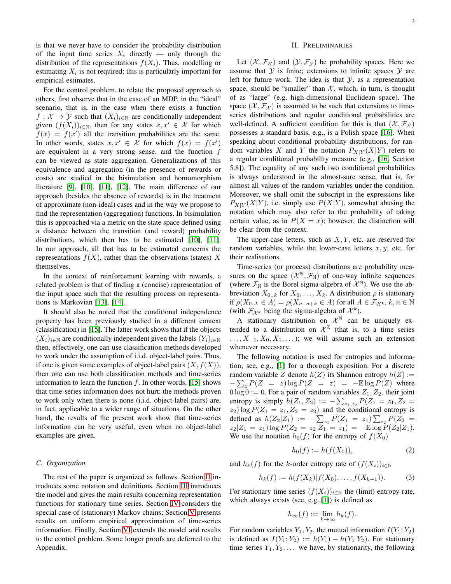is that we never have to consider the probability distribution of the input time series  $X_i$  directly — only through the distribution of the representations  $f(X_i)$ . Thus, modelling or estimating  $X_i$  is not required; this is particularly important for empirical estimates.

For the control problem, to relate the proposed approach to others, first observe that in the case of an MDP, in the "ideal" scenario, that is, in the case when there exists a function  $f: \mathcal{X} \to \mathcal{Y}$  such that  $(X_i)_{i \in \mathbb{N}}$  are conditionally independent given  $(f(X_i))_{i\in\mathbb{N}}$ , then for any states  $x, x' \in \mathcal{X}$  for which  $f(x) = f(x')$  all the transition probabilities are the same. In other words, states  $x, x' \in \mathcal{X}$  for which  $f(x) = f(x')$ are equivalent in a very strong sense, and the function  $f$ can be viewed as state aggregation. Generalizations of this equivalence and aggregation (in the presence of rewards or costs) are studied in the bisimulation and homomorphism literature [\[9\]](#page-11-3), [\[10\]](#page-11-4), [\[11\]](#page-11-5), [\[12\]](#page-11-6). The main difference of our approach (besides the absence of rewards) is in the treatment of approximate (non-ideal) cases and in the way we propose to find the representation (aggregation) functions. In bisimulation this is approached via a metric on the state space defined using a distance between the transition (and reward) probability distributions, which then has to be estimated [\[10\]](#page-11-4), [\[11\]](#page-11-5). In our approach, all that has to be estimated concerns the representations  $f(X)$ , rather than the observations (states) X themselves.

In the context of reinforcement learning with rewards, a related problem is that of finding a (concise) representation of the input space such that the resulting process on representations is Markovian [\[13\]](#page-11-7), [\[14\]](#page-11-8).

It should also be noted that the conditional independence property has been previously studied in a different context (classification) in [\[15\]](#page-11-9). The latter work shows that if the objects  $(X_i)_{i\in\mathbb{N}}$  are conditionally independent given the labels  $(Y_i)_{i\in\mathbb{N}}$ then, effectively, one can use classification methods developed to work under the assumption of i.i.d. object-label pairs. Thus, if one is given some examples of object-label pairs  $(X, f(X))$ , then one can use both classification methods and time-series information to learn the function f. In other words, [\[15\]](#page-11-9) shows that time-series information does not hurt: the methods proven to work only when there is none (i.i.d. object-label pairs) are, in fact, applicable to a wider range of situations. On the other hand, the results of the present work show that time-series information can be very useful, even when no object-label examples are given.

## *C. Organization*

The rest of the paper is organized as follows. Section [II](#page-2-0) introduces some notation and definitions. Section [III](#page-3-0) introduces the model and gives the main results concerning representation functions for stationary time series. Section [IV](#page-4-0) considers the special case of (stationary) Markov chains; Section [V](#page-5-0) presents results on uniform empirical approximation of time-series information. Finally, Section [VI](#page-6-0) extends the model and results to the control problem. Some longer proofs are deferred to the Appendix.

## II. PRELIMINARIES

<span id="page-2-0"></span>Let  $(\mathcal{X}, \mathcal{F}_{\mathcal{X}})$  and  $(\mathcal{Y}, \mathcal{F}_{\mathcal{Y}})$  be probability spaces. Here we assume that  $Y$  is finite; extensions to infinite spaces  $Y$  are left for future work. The idea is that  $\mathcal{Y}$ , as a representation space, should be "smaller" than  $X$ , which, in turn, is thought of as "large" (e.g. high-dimensional Euclidean space). The space  $(\mathcal{X}, \mathcal{F}_{\mathcal{X}})$  is assumed to be such that extensions to timeseries distributions and regular conditional probabilities are well-defined. A sufficient condition for this is that  $(\mathcal{X}, \mathcal{F}_{\mathcal{X}})$ possesses a standard basis, e.g., is a Polish space [\[16\]](#page-11-10). When speaking about conditional probability distributions, for random variables X and Y the notation  $P_{X|Y}(X|Y)$  refers to a regular conditional probability measure (e.g., [\[16,](#page-11-10) Section 5.8]). The equality of any such two conditional probabilities is always understood in the almost-sure sense, that is, for almost all values of the random variables under the condition. Moreover, we shall omit the subscript in the expressions like  $P_{X|Y}(X|Y)$ , i.e. simply use  $P(X|Y)$ , somewhat abusing the notation which may also refer to the probability of taking certain value, as in  $P(X = x)$ ; however, the distinction will be clear from the context.

The upper-case letters, such as  $X, Y$ , etc. are reserved for random variables, while the lower-case letters  $x, y$ , etc. for their realisations.

Time-series (or process) distributions are probability measures on the space  $(\mathcal{X}^{\mathbb{N}}, \mathcal{F}_{\mathbb{N}})$  of one-way infinite sequences (where  $\mathcal{F}_{\mathbb{N}}$  is the Borel sigma-algebra of  $\mathcal{X}^{\mathbb{N}}$ ). We use the abbreviation  $X_{0..k}$  for  $X_0, \ldots, X_k$ . A distribution  $\rho$  is stationary if  $\rho(X_{0..k} \in A) = \rho(X_{n..n+k} \in A)$  for all  $A \in \mathcal{F}_{\mathcal{X}^k}, k, n \in \mathbb{N}$ (with  $\mathcal{F}_{\mathcal{X}^k}$  being the sigma-algebra of  $\mathcal{X}^k$ ).

A stationary distribution on  $\mathcal{X}^{\mathbb{N}}$  can be uniquely extended to a distribution on  $\mathcal{X}^{\mathbb{Z}}$  (that is, to a time series  $\ldots, X_{-1}, X_0, X_1, \ldots$ ; we will assume such an extension whenever necessary.

The following notation is used for entropies and information; see, e.g., [\[1\]](#page-10-0) for a thorough exposition. For a discrete random variable Z denote  $h(Z)$  its Shannon entropy  $h(Z) :=$  $-\sum_{z} P(Z = z) \log P(Z = z) = -\mathbb{E} \log P(Z)$  where  $0 \log 0 := 0$ . For a pair of random variables  $Z_1, Z_2$ , their joint entropy is simply  $h(Z_1, Z_2) := -\sum_{z_1, z_2} P(Z_1 = z_1, Z_2 =$  $z_2$ ) log  $P(Z_1 = z_1, Z_2 = z_2)$  and the conditional entropy is defined as  $h(Z_2|Z_1) := -\sum_{z_1} P(Z_1 = z_1) \sum_{z_2} P(Z_2 = z_2)$  $z_2|Z_1 = z_1 \log P(Z_2 = z_2 | \overline{Z_1} = z_1) = -\mathbb{E} \log P(Z_2 | Z_1).$ We use the notation  $h_0(f)$  for the entropy of  $f(X_0)$ 

$$
h_0(f) := h(f(X_0)),
$$
 (2)

and  $h_k(f)$  for the k-order entropy rate of  $(f(X_i))_{i\in\mathbb{N}}$ 

$$
h_k(f) := h(f(X_k)|f(X_0), \dots, f(X_{k-1})).
$$
 (3)

For stationary time series  $(f(X_i))_{i\in\mathbb{N}}$  the (limit) entropy rate, which always exists (see, e.g.,[\[1\]](#page-10-0)) is defined as

$$
h_{\infty}(f) := \lim_{k \to \infty} h_k(f).
$$

For random variables  $Y_1, Y_2$ , the mutual information  $I(Y_1; Y_2)$ is defined as  $I(Y_1; Y_2) := h(Y_1) - h(Y_1|Y_2)$ . For stationary time series  $Y_1, Y_2, \ldots$  we have, by stationarity, the following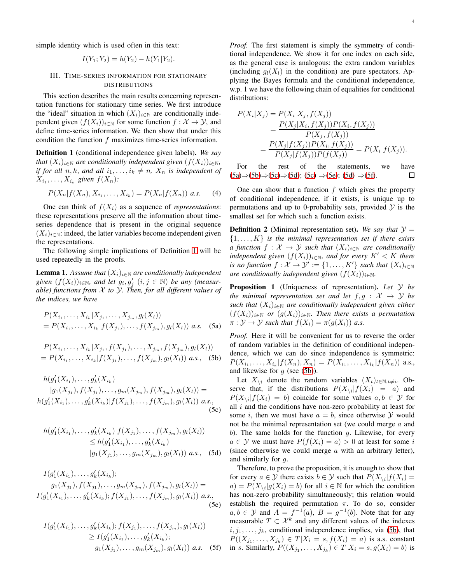simple identity which is used often in this text:

$$
I(Y_1; Y_2) = h(Y_2) - h(Y_1|Y_2).
$$

# <span id="page-3-0"></span>III. TIME-SERIES INFORMATION FOR STATIONARY DISTRIBUTIONS

This section describes the main results concerning representation functions for stationary time series. We first introduce the "ideal" situation in which  $(X_i)_{i\in\mathbb{N}}$  are conditionally independent given  $(f(X_i))_{i\in\mathbb{N}}$  for some function  $f: \mathcal{X} \to \mathcal{Y}$ , and define time-series information. We then show that under this condition the function f maximizes time-series information.

<span id="page-3-1"></span>Definition 1 (conditional independence given labels). *We say that*  $(X_i)_{i \in \mathbb{N}}$  *are conditionally independent given*  $(f(X_i))_{i \in \mathbb{N}}$ *, if for all*  $n, k$ , *and all*  $i_1, \ldots, i_k \neq n$ ,  $X_n$  *is independent of*  $X_{i_1}, \ldots, X_{i_k}$  given  $f(X_n)$ :

$$
P(X_n|f(X_n), X_{i_1}, \dots, X_{i_k}) = P(X_n|f(X_n)) \text{ a.s.} \qquad (4)
$$

One can think of  $f(X_i)$  as a sequence of *representations*: these representations preserve all the information about timeseries dependence that is present in the original sequence  $(X_i)_{i\in\mathbb{N}}$ : indeed, the latter variables become independent given the representations.

The following simple implications of Definition [1](#page-3-1) will be used repeatedly in the proofs.

<span id="page-3-8"></span>**Lemma 1.** Assume that  $(X_i)_{i\in\mathbb{N}}$  are conditionally independent  $given (f(X_i))_{i \in \mathbb{N}}$ , and let  $g_i, g'_j$   $(i, j \in \mathbb{N})$  be any (measur*able) functions from* X *to* Y*. Then, for all different values of the indices, we have*

$$
P(X_{i_1},...,X_{i_k}|X_{j_1},...,X_{j_m},g_l(X_l))
$$
  
=  $P(X_{i_1},...,X_{i_k}|f(X_{j_1}),...,f(X_{j_m}),g_l(X_l))$  a.s. (5a)

$$
P(X_{i_1},\ldots,X_{i_k}|X_{j_1},f(X_{j_1}),\ldots,X_{j_m},f(X_{j_m}),g_l(X_l))
$$
  
=  $P(X_{i_1},\ldots,X_{i_k}|f(X_{j_1}),\ldots,f(X_{j_m}),g_l(X_l))$  a.s., (5b)

$$
h(g'_1(X_{i_1}),\ldots,g'_k(X_{i_k})
$$
  
\n
$$
|g_1(X_{j_1}),f(X_{j_1}),\ldots,g_m(X_{j_m}),f(X_{j_m}),g_l(X_l)) =
$$
  
\n
$$
h(g'_1(X_{i_1}),\ldots,g'_k(X_{i_k})|f(X_{j_1}),\ldots,f(X_{j_m}),g_l(X_l)) \text{ a.s.},
$$
  
\n(5c)

$$
h(g'_1(X_{i_1}),\ldots,g'_k(X_{i_k})|f(X_{j_1}),\ldots,f(X_{j_m}),g_l(X_l))
$$
  
\n
$$
\leq h(g'_1(X_{i_1}),\ldots,g'_k(X_{i_k})
$$
  
\n
$$
|g_1(X_{j_1}),\ldots,g_m(X_{j_m}),g_l(X_l)) \text{ a.s.}, \quad (5d)
$$

$$
I(g'_1(X_{i_1}), \ldots, g'_k(X_{i_k});
$$
  
\n
$$
g_1(X_{j_1}), f(X_{j_1}), \ldots, g_m(X_{j_m}), f(X_{j_m}), g_l(X_l)) =
$$
  
\n
$$
I(g'_1(X_{i_1}), \ldots, g'_k(X_{i_k}); f(X_{j_1}), \ldots, f(X_{j_m}), g_l(X_l)) \ a.s.,
$$
  
\n(5e)

$$
I(g'_1(X_{i_1}), \ldots, g'_k(X_{i_k}); f(X_{j_1}), \ldots, f(X_{j_m}), g_l(X_l))
$$
  
\n
$$
\geq I(g'_1(X_{i_1}), \ldots, g'_k(X_{i_k});
$$
  
\n
$$
g_1(X_{j_1}), \ldots, g_m(X_{j_m}), g_l(X_l)) \text{ a.s. (5f)}
$$

*Proof.* The first statement is simply the symmetry of conditional independence. We show it for one index on each side, as the general case is analogous: the extra random variables (including  $q_l(X_l)$  in the condition) are pure spectators. Applying the Bayes formula and the conditional independence, w.p. 1 we have the following chain of equalities for conditional distributions:

$$
P(X_i|X_j) = P(X_i|X_j, f(X_j))
$$
  
= 
$$
\frac{P(X_j|X_i, f(X_j))P(X_i, f(X_j))}{P(X_j, f(X_j))}
$$
  
= 
$$
\frac{P(X_j|f(X_j))P(X_i, f(X_j))}{P(X_j|f(X_j))P(f(X_j))} = P(X_i|f(X_j)).
$$

For the rest of the statements, we have  $(5a) \Rightarrow (5b) \Rightarrow (5c) \Rightarrow (5d)$  $(5a) \Rightarrow (5b) \Rightarrow (5c) \Rightarrow (5d)$  $(5a) \Rightarrow (5b) \Rightarrow (5c) \Rightarrow (5d)$  $(5a) \Rightarrow (5b) \Rightarrow (5c) \Rightarrow (5d)$  $(5a) \Rightarrow (5b) \Rightarrow (5c) \Rightarrow (5d)$  $(5a) \Rightarrow (5b) \Rightarrow (5c) \Rightarrow (5d)$  $(5a) \Rightarrow (5b) \Rightarrow (5c) \Rightarrow (5d)$ ;  $(5c) \Rightarrow (5e)$  $(5c) \Rightarrow (5e)$ ;  $(5d) \Rightarrow (5f)$  $(5d) \Rightarrow (5f)$ . 口

One can show that a function  $f$  which gives the property of conditional independence, if it exists, is unique up to permutations and up to 0-probability sets, provided  $\mathcal Y$  is the smallest set for which such a function exists.

**Definition 2** (Minimal representation set). We say that  $\mathcal{Y} =$  $\{1, \ldots, K\}$  *is the minimal representation set if there exists a function*  $f: \mathcal{X} \to \mathcal{Y}$  *such that*  $(X_i)_{i \in \mathbb{N}}$  *are conditionally independent given*  $(f(X_i))_{i\in\mathbb{N}}$ *, and for every*  $K' < K$  *there is no function*  $f: \mathcal{X} \to \mathcal{Y}' := \{1, \ldots, K'\}$  *such that*  $(X_i)_{i \in \mathbb{N}}$ *are conditionally independent given*  $(f(X_i))_{i\in\mathbb{N}}$ .

<span id="page-3-9"></span>Proposition 1 (Uniqueness of representation). *Let* Y *be the minimal representation set and let*  $f, g : \mathcal{X} \rightarrow \mathcal{Y}$  *be such that*  $(X_i)_{i \in \mathbb{N}}$  *are conditionally independent given either*  $(f(X_i))_{i\in\mathbb{N}}$  *or*  $(g(X_i))_{i\in\mathbb{N}}$ *. Then there exists a permutation*  $\pi : \mathcal{Y} \to \mathcal{Y}$  *such that*  $f(X_i) = \pi(g(X_i))$  *a.s.* 

<span id="page-3-3"></span><span id="page-3-2"></span>*Proof.* Here it will be convenient for us to reverse the order of random variables in the definition of conditional independence, which we can do since independence is symmetric:  $P(X_{i_1},...,X_{i_k}|f(X_n),X_n) = P(X_{i_1},...,X_{i_k}|f(X_n))$  a.s., and likewise for  $g$  (see [\(5b\)](#page-3-3)).

<span id="page-3-4"></span>Let  $X_{\setminus i}$  denote the random variables  $(X_t)_{t \in \mathbb{N}, t \neq i}$ . Observe that, if the distributions  $P(X_{\setminus i}|f(X_i) = a)$  and  $P(X_{\setminus i}|f(X_i) = b)$  coincide for some values  $a, b \in Y$  for all  $i$  and the conditions have non-zero probability at least for some i, then we must have  $a = b$ , since otherwise Y would not be the minimal representation set (we could merge a and b). The same holds for the function  $g$ . Likewise, for every  $a \in \mathcal{Y}$  we must have  $P(f(X_i) = a) > 0$  at least for some i (since otherwise we could merge  $a$  with an arbitrary letter), and similarly for g.

<span id="page-3-7"></span><span id="page-3-6"></span><span id="page-3-5"></span>Therefore, to prove the proposition, it is enough to show that for every  $a \in \mathcal{Y}$  there exists  $b \in \mathcal{Y}$  such that  $P(X_{\setminus i}|f(X_i)) =$  $a) = P(X_{\setminus i}|g(X_i) = b)$  for all  $i \in \mathbb{N}$  for which the condition has non-zero probability simultaneously; this relation would establish the required permutation  $\pi$ . To do so, consider  $a, b \in \mathcal{Y}$  and  $A = f^{-1}(a), B = g^{-1}(b)$ . Note that for any measurable  $T \subset \mathcal{X}^k$  and any different values of the indexes  $i, j_1, \ldots, j_k$ , conditional independence implies, via [\(5b\)](#page-3-3), that  $P((X_{j_1},...,X_{j_k}) \in T | X_i = s, f(X_i) = a)$  is a.s. constant in s. Similarly,  $P((X_{j_1},...,X_{j_k}) \in T | X_i = s, g(X_i) = b)$  is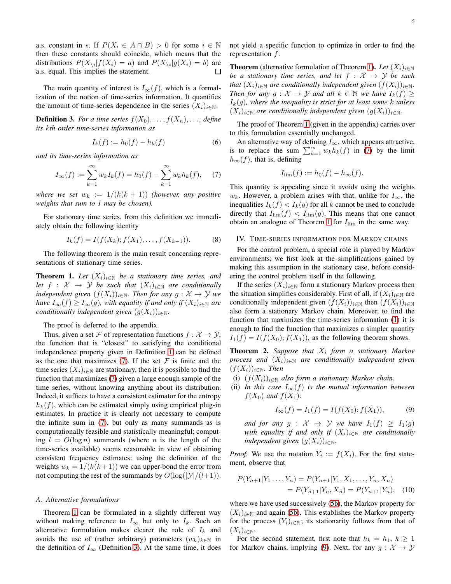a.s. constant in s. If  $P(X_i \in A \cap B) > 0$  for some  $i \in \mathbb{N}$ then these constants should coincide, which means that the distributions  $P(X_{\setminus i}|f(X_i) = a)$  and  $P(X_{\setminus i}|g(X_i) = b)$  are a.s. equal. This implies the statement.

The main quantity of interest is  $I_{\infty}(f)$ , which is a formalization of the notion of time-series information. It quantifies the amount of time-series dependence in the series  $(X_i)_{i\in\mathbb{N}}$ .

<span id="page-4-3"></span>**Definition 3.** For a time series  $f(X_0), \ldots, f(X_n), \ldots$ , define *its* k*th order time-series information as*

$$
I_k(f) := h_0(f) - h_k(f)
$$
 (6)

*and its time-series information as*

<span id="page-4-1"></span>
$$
I_{\infty}(f) := \sum_{k=1}^{\infty} w_k I_k(f) = h_0(f) - \sum_{k=1}^{\infty} w_k h_k(f), \quad (7)
$$

*where we set*  $w_k := 1/(k(k + 1))$  *(however, any positive weights that sum to 1 may be chosen).*

For stationary time series, from this definition we immediately obtain the following identity

<span id="page-4-6"></span>
$$
I_k(f) = I(f(X_k); f(X_1), \dots, f(X_{k-1})).
$$
 (8)

The following theorem is the main result concerning representations of stationary time series.

<span id="page-4-2"></span>**Theorem 1.** Let  $(X_i)_{i\in\mathbb{N}}$  be a stationary time series, and *let*  $f : \mathcal{X} \to \mathcal{Y}$  *be such that*  $(X_i)_{i \in \mathbb{N}}$  *are conditionally independent given*  $(f(X_i))_{i\in\mathbb{N}}$ *. Then for any*  $g: \mathcal{X} \to \mathcal{Y}$  we *have*  $I_\infty(f) \geq I_\infty(g)$ *, with equality if and only if*  $(X_i)_{i \in \mathbb{N}}$  *are conditionally independent given*  $(g(X_i))_{i\in\mathbb{N}}$ .

The proof is deferred to the appendix.

Thus, given a set F of representation functions  $f: \mathcal{X} \to \mathcal{Y}$ , the function that is "closest" to satisfying the conditional independence property given in Definition [1](#page-3-1) can be defined as the one that maximizes [\(7\)](#page-4-1). If the set  $\mathcal F$  is finite and the time series  $(X_i)_{i\in\mathbb{N}}$  are stationary, then it is possible to find the function that maximizes [\(7\)](#page-4-1) given a large enough sample of the time series, without knowing anything about its distribution. Indeed, it suffices to have a consistent estimator for the entropy  $h_k(f)$ , which can be estimated simply using empirical plug-in estimates. In practice it is clearly not necessary to compute the infinite sum in [\(7\)](#page-4-1), but only as many summands as is computationally feasible and statistically meaningful; computing  $l = O(\log n)$  summands (where *n* is the length of the time-series available) seems reasonable in view of obtaining consistent frequency estimates: using the definition of the weights  $w_k = 1/(k(k+1))$  we can upper-bond the error from not computing the rest of the summands by  $O(log(|\mathcal{Y}|/(l+1)).$ 

#### *A. Alternative formulations*

Theorem [1](#page-4-2) can be formulated in a slightly different way without making reference to  $I_{\infty}$  but only to  $I_k$ . Such an alternative formulation makes clearer the role of  $I_k$  and avoids the use of (rather arbitrary) parameters  $(w_k)_{k \in \mathbb{N}}$  in the definition of  $I_{\infty}$  (Definition [3\)](#page-4-3). At the same time, it does not yield a specific function to optimize in order to find the representation f.

**Theorem** (alternative formulation of Theorem [1\)](#page-4-2). Let  $(X_i)_{i \in \mathbb{N}}$ *be a stationary time series, and let*  $f : \mathcal{X} \rightarrow \mathcal{Y}$  *be such that*  $(X_i)_{i \in \mathbb{N}}$  *are conditionally independent given*  $(f(X_i))_{i \in \mathbb{N}}$ *. Then for any*  $g: \mathcal{X} \to \mathcal{Y}$  *and all*  $k \in \mathbb{N}$  *we have*  $I_k(f) \geq$  $I_k(q)$ , where the inequality is strict for at least some k unless  $(X_i)_{i\in\mathbb{N}}$  *are conditionally independent given*  $(g(X_i))_{i\in\mathbb{N}}$ .

The proof of Theorem [1](#page-4-2) (given in the appendix) carries over to this formulation essentially unchanged.

An alternative way of defining  $I_{\infty}$ , which appears attractive, is to replace the sum  $\sum_{k=1}^{\infty} w_k h_k(f)$  in [\(7\)](#page-4-1) by the limit  $h_{\infty}(f)$ , that is, defining

$$
I_{\lim}(f) := h_0(f) - h_{\infty}(f).
$$

This quantity is appealing since it avoids using the weights  $w_k$ . However, a problem arises with that, unlike for  $I_{\infty}$ , the inequalities  $I_k(f) < I_k(g)$  for all k cannot be used to conclude directly that  $I_{\text{lim}}(f) < I_{\text{lim}}(g)$ . This means that one cannot obtain an analogue of Theorem [1](#page-4-2) for  $I_{\text{lim}}$  in the same way.

#### <span id="page-4-0"></span>IV. TIME-SERIES INFORMATION FOR MARKOV CHAINS

For the control problem, a special role is played by Markov environments; we first look at the simplifications gained by making this assumption in the stationary case, before considering the control problem itself in the following.

If the series  $(X_i)_{i\in\mathbb{N}}$  form a stationary Markov process then the situation simplifies considerably. First of all, if  $(X_i)_{i\in\mathbb{N}}$  are conditionally independent given  $(f(X_i))_{i\in\mathbb{N}}$  then  $(f(X_i))_{i\in\mathbb{N}}$ also form a stationary Markov chain. Moreover, to find the function that maximizes the time-series information [\(1\)](#page-0-0) it is enough to find the function that maximizes a simpler quantity  $I_1(f) = I(f(X_0); f(X_1))$ , as the following theorem shows.

<span id="page-4-5"></span>Theorem 2. *Suppose that* X<sup>i</sup> *form a stationary Markov process and*  $(X_i)_{i \in \mathbb{N}}$  *are conditionally independent given*  $(f(X_i))_{i\in\mathbb{N}}$ *. Then* 

- (i)  $(f(X_i))_{i\in\mathbb{N}}$  also form a stationary Markov chain.
- (ii) In this case  $I_\infty(f)$  is the mutual information between  $f(X_0)$  *and*  $f(X_1)$ *:*

<span id="page-4-4"></span>
$$
I_{\infty}(f) = I_1(f) = I(f(X_0); f(X_1)),
$$
 (9)

*and for any*  $g : \mathcal{X} \to \mathcal{Y}$  *we have*  $I_1(f) \geq I_1(g)$ *with equality if and only if*  $(X_i)_{i \in \mathbb{N}}$  *are conditionally independent given*  $(g(X_i))_{i\in\mathbb{N}}$ .

*Proof.* We use the notation  $Y_i := f(X_i)$ . For the first statement, observe that

$$
P(Y_{n+1}|Y_1 \dots, Y_n) = P(Y_{n+1}|Y_1, X_1, \dots, Y_n, X_n)
$$
  
=  $P(Y_{n+1}|Y_n, X_n) = P(Y_{n+1}|Y_n),$  (10)

where we have used successively [\(5b\)](#page-3-3), the Markov property for  $(X_i)_{i\in\mathbb{N}}$  and again [\(5b\)](#page-3-3). This establishes the Markov property for the process  $(Y_i)_{i\in\mathbb{N}}$ ; its stationarity follows from that of  $(X_i)_{i\in\mathbb{N}}$ .

For the second statement, first note that  $h_k = h_1, k \ge 1$ for Markov chains, implying [\(9\)](#page-4-4). Next, for any  $g : \mathcal{X} \to \mathcal{Y}$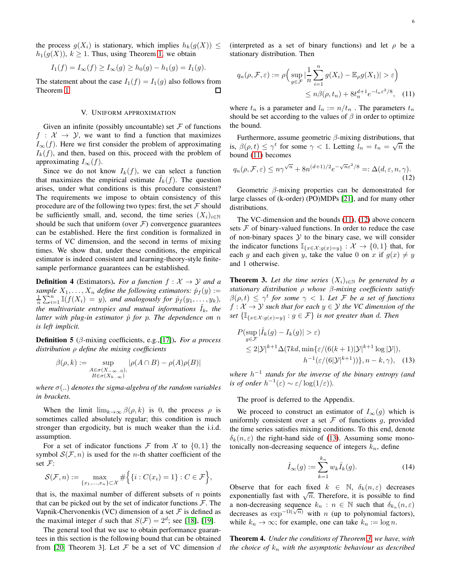the process  $g(X_i)$  is stationary, which implies  $h_k(g(X)) \leq$  $h_1(g(X))$ ,  $k \geq 1$ . Thus, using Theorem [1,](#page-4-2) we obtain

$$
I_1(f) = I_{\infty}(f) \ge I_{\infty}(g) \ge h_0(g) - h_1(g) = I_1(g).
$$

<span id="page-5-0"></span>The statement about the case  $I_1(f) = I_1(g)$  also follows from Theorem [1.](#page-4-2)  $\Box$ 

## V. UNIFORM APPROXIMATION

Given an infinite (possibly uncountable) set  $\mathcal F$  of functions  $f : \mathcal{X} \to \mathcal{Y}$ , we want to find a function that maximizes  $I_{\infty}(f)$ . Here we first consider the problem of approximating  $I_k(f)$ , and then, based on this, proceed with the problem of approximating  $I_{\infty}(f)$ .

Since we do not know  $I_k(f)$ , we can select a function that maximizes the empirical estimate  $I_k(f)$ . The question arises, under what conditions is this procedure consistent? The requirements we impose to obtain consistency of this procedure are of the following two types: first, the set  $\mathcal F$  should be sufficiently small, and, second, the time series  $(X_i)_{i\in\mathbb{N}}$ should be such that uniform (over  $\mathcal F$ ) convergence guarantees can be established. Here the first condition is formalized in terms of VC dimension, and the second in terms of mixing times. We show that, under these conditions, the empirical estimator is indeed consistent and learning-theory-style finitesample performance guarantees can be established.

**Definition 4** (Estimators). For a function  $f: \mathcal{X} \rightarrow \mathcal{Y}$  and a *sample*  $X_1, \ldots, X_n$  *define the following estimators:*  $\hat{p}_f(y) :=$  $\frac{1}{n}\sum_{i=1}^n \mathbb{I}(f(X_i) = y)$ *, and analogously for*  $\hat{p}_f(y_1, \ldots, y_k)$ *, the multivariate entropies and mutual informations*  $I_k$ *, the latter with plug-in estimator*  $\hat{p}$  *for p. The dependence on n is left implicit.*

Definition 5 (β-mixing coefficients, e.g.,[\[17\]](#page-11-11)). *For a process distribution* ρ *define the mixing coefficients*

$$
\beta(\rho, k) := \sup_{\substack{A \in \sigma(X_{-\infty, 0}), \\ B \in \sigma(X_{k, \infty})}} |\rho(A \cap B) - \rho(A)\rho(B)|
$$

*where* σ(..) *denotes the sigma-algebra of the random variables in brackets.*

When the limit  $\lim_{k\to\infty} \beta(\rho, k)$  is 0, the process  $\rho$  is sometimes called absolutely regular; this condition is much stronger than ergodicity, but is much weaker than the i.i.d. assumption.

For a set of indicator functions  $\mathcal F$  from  $\mathcal X$  to  $\{0,1\}$  the symbol  $S(F, n)$  is used for the *n*-th shatter coefficient of the set F:

$$
\mathcal{S}(\mathcal{F}, n) := \max_{\{x_1, \dots, x_n\} \subset \mathcal{X}} \# \Big\{ \{i : C(x_i) = 1\} : C \in \mathcal{F} \Big\},\
$$

that is, the maximal number of different subsets of  $n$  points that can be picked out by the set of indicator functions  $\mathcal{F}$ . The Vapnik-Chervonenkis (VC) dimension of a set  $\mathcal F$  is defined as the maximal integer d such that  $S(\mathcal{F}) = 2^d$ ; see [\[18\]](#page-11-12), [\[19\]](#page-11-13).

The general tool that we use to obtain performance guarantees in this section is the following bound that can be obtained from [\[20,](#page-11-14) Theorem 3]. Let  $\mathcal F$  be a set of VC dimension  $d$  (interpreted as a set of binary functions) and let  $\rho$  be a stationary distribution. Then

<span id="page-5-1"></span>
$$
q_n(\rho, \mathcal{F}, \varepsilon) := \rho \Big( \sup_{g \in \mathcal{F}} \Big| \frac{1}{n} \sum_{i=1}^n g(X_i) - \mathbb{E}_{\rho} g(X_1) \Big| > \varepsilon \Big) \leq n \beta(\rho, t_n) + 8t_n^{d+1} e^{-l_n \varepsilon^2/8}, \quad (11)
$$

where  $t_n$  is a parameter and  $l_n := n/t_n$ . The parameters  $t_n$ should be set according to the values of  $\beta$  in order to optimize the bound.

Furthermore, assume geometric  $\beta$ -mixing distributions, that is,  $\beta(\rho, t) \le \gamma^t$  for some  $\gamma < 1$ . Letting  $l_n = t_n = \sqrt{n}$  the bound [\(11\)](#page-5-1) becomes

<span id="page-5-2"></span>
$$
q_n(\rho, \mathcal{F}, \varepsilon) \le n\gamma^{\sqrt{n}} + 8n^{(d+1)/2}e^{-\sqrt{n}\varepsilon^2/8} =: \Delta(d, \varepsilon, n, \gamma).
$$
\n(12)

Geometric β-mixing properties can be demonstrated for large classes of (k-order) (PO)MDPs [\[21\]](#page-11-15), and for many other distributions.

The VC-dimension and the bounds [\(11\)](#page-5-1), [\(12\)](#page-5-2) above concern sets  $F$  of binary-valued functions. In order to reduce the case of non-binary spaces  $Y$  to the binary case, we will consider the indicator functions  $\mathbb{I}_{\{x \in \mathcal{X} : g(x) = y\}} : \mathcal{X} \to \{0, 1\}$  that, for each g and each given y, take the value 0 on x if  $g(x) \neq y$ and 1 otherwise.

<span id="page-5-4"></span>**Theorem 3.** Let the time series  $(X_i)_{i \in \mathbb{N}}$  be generated by a *stationary distribution* ρ *whose* β*-mixing coefficients satisfy*  $\beta(\rho, t) \leq \gamma^t$  for some  $\gamma < 1$ . Let F be a set of functions  $f: \mathcal{X} \to \mathcal{Y}$  *such that for each*  $y \in \mathcal{Y}$  *the VC dimension of the set*  $\{\mathbb{I}_{\{x \in \mathcal{X} : q(x) = y\}} : g \in \mathcal{F}\}\$ is not greater than d. Then

$$
P(\sup_{g \in \mathcal{F}} |\hat{I}_k(g) - I_k(g)| > \varepsilon)
$$
  
\n
$$
\leq 2|\mathcal{Y}|^{k+1} \Delta(7kd, \min{\varepsilon/(6(k+1)|\mathcal{Y}|^{k+1}\log|\mathcal{Y}|)},
$$
  
\n
$$
h^{-1}(\varepsilon/(6|\mathcal{Y}|^{k+1})), n - k, \gamma), \quad (13)
$$

*where* h −1 *stands for the inverse of the binary entropy (and is of order*  $h^{-1}(\varepsilon) \sim \varepsilon/\log(1/\varepsilon)$ *).* 

The proof is deferred to the Appendix.

We proceed to construct an estimator of  $I_{\infty}(g)$  which is uniformly consistent over a set  $\mathcal F$  of functions g, provided the time series satisfies mixing conditions. To this end, denote  $\delta_k(n,\varepsilon)$  the right-hand side of [\(13\)](#page-5-3). Assuming some monotonically non-decreasing sequence of integers  $k_n$ , define

<span id="page-5-3"></span>
$$
\hat{I}_{\infty}(g) := \sum_{k=1}^{k_n} w_k \hat{I}_k(g). \tag{14}
$$

Observe that for each fixed  $k \in \mathbb{N}$ ,  $\delta_k(n, \varepsilon)$  decreases exponentially fast with  $\sqrt{n}$ . Therefore, it is possible to find a non-decreasing sequence  $k_n : n \in \mathbb{N}$  such that  $\delta_{k_n}(n, \varepsilon)$ decreases as  $\exp^{-\Omega(\sqrt{n})}$  with n (up to polynomial factors), while  $k_n \to \infty$ ; for example, one can take  $k_n := \log n$ .

Theorem 4. *Under the conditions of Theorem [3,](#page-5-4) we have, with the choice of*  $k_n$  *with the asymptotic behaviour as described*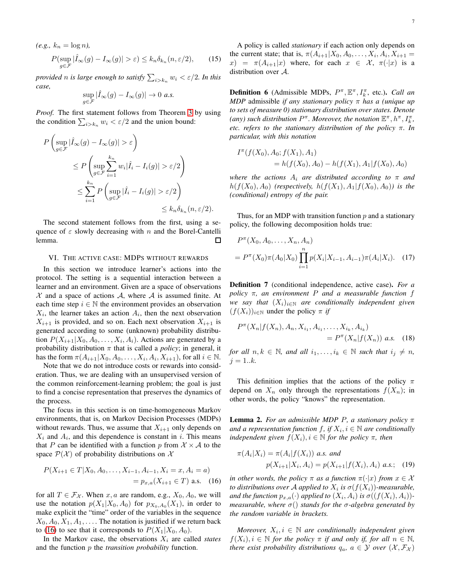$$
(e.g., k_n = \log n),
$$

$$
P(\sup_{g \in \mathcal{F}} |\hat{I}_{\infty}(g) - I_{\infty}(g)| > \varepsilon) \le k_n \delta_{k_n}(n, \varepsilon/2), \qquad (15)
$$

*provided n is large enough to satisfy*  $\sum_{i>k_n} w_i < \varepsilon/2$ . In this *case,*

$$
\sup_{g \in \mathcal{F}} |\hat{I}_{\infty}(g) - I_{\infty}(g)| \to 0 \text{ a.s.}
$$

*Proof.* The first statement follows from Theorem [3](#page-5-4) by using the condition  $\sum_{i>k_n} w_i < \varepsilon/2$  and the union bound:

$$
P\left(\sup_{g\in\mathcal{F}}|\hat{I}_{\infty}(g) - I_{\infty}(g)| > \varepsilon\right)
$$
  
\n
$$
\leq P\left(\sup_{g\in\mathcal{F}}\sum_{i=1}^{k_n} w_i|\hat{I}_i - I_i(g)| > \varepsilon/2\right)
$$
  
\n
$$
\leq \sum_{i=1}^{k_n} P\left(\sup_{g\in\mathcal{F}}|\hat{I}_i - I_i(g)| > \varepsilon/2\right)
$$
  
\n
$$
\leq k_n\delta_{k_n}(n, \varepsilon/2).
$$

The second statement follows from the first, using a sequence of  $\varepsilon$  slowly decreasing with n and the Borel-Cantelli lemma.  $\Box$ 

## <span id="page-6-0"></span>VI. THE ACTIVE CASE: MDPS WITHOUT REWARDS

In this section we introduce learner's actions into the protocol. The setting is a sequential interaction between a learner and an environment. Given are a space of observations  $X$  and a space of actions A, where A is assumed finite. At each time step  $i \in \mathbb{N}$  the environment provides an observation  $X_i$ , the learner takes an action  $A_i$ , then the next observation  $X_{i+1}$  is provided, and so on. Each next observation  $X_{i+1}$  is generated according to some (unknown) probability distribution  $P(X_{i+1}|X_0, A_0, \ldots, X_i, A_i)$ . Actions are generated by a probability distribution  $\pi$  that is called a *policy*; in general, it has the form  $\pi(A_{i+1}|X_0, A_0, \dots, X_i, A_i, X_{i+1})$ , for all  $i \in \mathbb{N}$ .

Note that we do not introduce costs or rewards into consideration. Thus, we are dealing with an unsupervised version of the common reinforcement-learning problem; the goal is just to find a concise representation that preserves the dynamics of the process.

The focus in this section is on time-homogeneous Markov environments, that is, on Markov Decision Processes (MDPs) without rewards. Thus, we assume that  $X_{i+1}$  only depends on  $X_i$  and  $A_i$ , and this dependence is constant in i. This means that P can be identified with a function p from  $\mathcal{X} \times \mathcal{A}$  to the space  $\mathcal{P}(\mathcal{X})$  of probability distributions on X

$$
P(X_{i+1} \in T | X_0, A_0, \dots, X_{i-1}, A_{i-1}, X_i = x, A_i = a)
$$
  
=  $p_{x,a}(X_{i+1} \in T)$  a.s. (16)

for all  $T \in \mathcal{F}_{\mathcal{X}}$ . When  $x, a$  are random, e.g.,  $X_0, A_0$ , we will use the notation  $p(X_1|X_0, A_0)$  for  $p_{X_0, A_0}(X_1)$ , in order to make explicit the "time" order of the variables in the sequence  $X_0, A_0, X_1, A_1, \ldots$ . The notation is justified if we return back to [\(16\)](#page-6-1) to see that it corresponds to  $P(X_1|X_0, A_0)$ .

In the Markov case, the observations  $X_i$  are called *states* and the function p the *transition probability* function.

A policy is called *stationary* if each action only depends on the current state; that is,  $\pi(A_{i+1}|X_0, A_0, \ldots, X_i, A_i, X_{i+1} =$  $(x) = \pi(A_{i+1}|x)$  where, for each  $x \in \mathcal{X}$ ,  $\pi(\cdot|x)$  is a distribution over A.

**Definition 6** (Admissible MDPs,  $P^{\pi}, \mathbb{E}^{\pi}, I_k^{\pi}$ , etc.). *Call an MDP* admissible *if any stationary policy* π *has a (unique up to sets of measure 0) stationary distribution over states. Denote* (any) such distribution  $P^{\pi}$ . Moreover, the notation  $\mathbb{E}^{\pi}, h^{\pi}, I_{k}^{\pi}$ , *etc. refers to the stationary distribution of the policy* π*. In particular, with this notation*

$$
I^{\pi}(f(X_0), A_0; f(X_1), A_1)
$$
  
=  $h(f(X_0), A_0) - h(f(X_1), A_1|f(X_0), A_0)$ 

*where the actions*  $A_i$  *are distributed according to*  $\pi$  *and*  $h(f(X_0), A_0)$  (respectively,  $h(f(X_1), A_1|f(X_0), A_0)$ ) is the *(conditional) entropy of the pair.*

Thus, for an MDP with transition function  $p$  and a stationary policy, the following decomposition holds true:

<span id="page-6-2"></span>
$$
P^{\pi}(X_0, A_0, \dots, X_n, A_n)
$$
  
=  $P^{\pi}(X_0) \pi(A_0|X_0) \prod_{i=1}^n p(X_i|X_{i-1}, A_{i-1}) \pi(A_i|X_i).$  (17)

Definition 7 (conditional independence, active case). *For a policy* π*, an environment* P *and a measurable function* f *we say that*  $(X_i)_{i \in \mathbb{N}}$  *are conditionally independent given*  $(f(X_i))_{i\in\mathbb{N}}$  under the policy  $\pi$  *if* 

<span id="page-6-3"></span>
$$
P^{\pi}(X_n|f(X_n), A_n, X_{i_1}, A_{i_1}, \dots, X_{i_k}, A_{i_k})
$$
  
= 
$$
P^{\pi}(X_n|f(X_n)) \text{ a.s.} \quad (18)
$$

*for all*  $n, k \in \mathbb{N}$ *, and all*  $i_1, \ldots, i_k \in \mathbb{N}$  *such that*  $i_j \neq n$ *,*  $j = 1..k$ .

This definition implies that the actions of the policy  $\pi$ depend on  $X_n$  only through the representations  $f(X_n)$ ; in other words, the policy "knows" the representation.

<span id="page-6-5"></span>Lemma 2. *For an admissible MDP* P*, a stationary policy* π and a representation function f, if  $X_i$ ,  $i \in \mathbb{N}$  are conditionally *independent given*  $f(X_i), i \in \mathbb{N}$  *for the policy*  $\pi$ *, then* 

<span id="page-6-4"></span>
$$
\pi(A_i|X_i) = \pi(A_i|f(X_i)) \text{ a.s. and}
$$
  
 
$$
p(X_{i+1}|X_i, A_i) = p(X_{i+1}|f(X_i), A_i) \text{ a.s.}; \quad (19)
$$

<span id="page-6-1"></span>*in other words, the policy*  $\pi$  *as a function*  $\pi(\cdot|x)$  *from*  $x \in \mathcal{X}$ *to distributions over* A *applied to*  $X_i$  *is*  $\sigma(f(X_i))$ *-measurable,* and the function  $p_{x,a}(\cdot)$  applied to  $(X_i,A_i)$  is  $\sigma((f(X_i),A_i))$ *measurable, where* σ() *stands for the* σ*-algebra generated by the random variable in brackets.*

*Moreover,*  $X_i, i \in \mathbb{N}$  are conditionally independent given  $f(X_i), i \in \mathbb{N}$  for the policy  $\pi$  if and only if, for all  $n \in \mathbb{N}$ , *there exist probability distributions*  $q_a$ ,  $a \in \mathcal{Y}$  *over*  $(\mathcal{X}, \mathcal{F}_{\mathcal{X}})$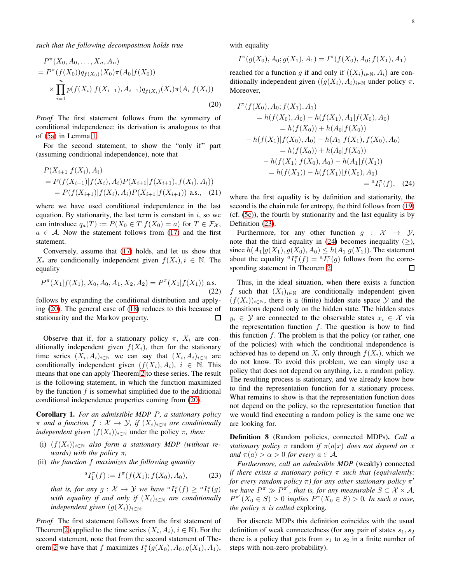*such that the following decomposition holds true*

$$
P^{\pi}(X_0, A_0, \dots, X_n, A_n)
$$
  
=  $P^{\pi}(f(X_0))q_{f(X_0)}(X_0)\pi(A_0|f(X_0))$   

$$
\times \prod_{i=1}^n p(f(X_i)|f(X_{i-1}), A_{i-1})q_{f(X_i)}(X_i)\pi(A_i|f(X_i))
$$
(20)

*Proof.* The first statement follows from the symmetry of conditional independence; its derivation is analogous to that of [\(5a\)](#page-3-2) in Lemma [1.](#page-3-8)

For the second statement, to show the "only if" part (assuming conditional independence), note that

$$
P(X_{i+1}|f(X_i), A_i)
$$
  
=  $P(f(X_{i+1})|f(X_i), A_i)P(X_{i+1}|f(X_{i+1}), f(X_i), A_i))$   
=  $P(f(X_{i+1})|f(X_i), A_i)P(X_{i+1}|f(X_{i+1}))$  a.s., (21)

where we have used conditional independence in the last equation. By stationarity, the last term is constant in  $i$ , so we can introduce  $q_a(T) := P(X_0 \in T | f(X_0) = a)$  for  $T \in \mathcal{F}_{\mathcal{X}}$ ,  $a \in A$ . Now the statement follows from [\(17\)](#page-6-2) and the first statement.

Conversely, assume that [\(17\)](#page-6-2) holds, and let us show that  $X_i$  are conditionally independent given  $f(X_i), i \in \mathbb{N}$ . The equality

$$
P^{\pi}(X_1|f(X_1), X_0, A_0, A_1, X_2, A_2) = P^{\pi}(X_1|f(X_1))
$$
 a.s. (22)

follows by expanding the conditional distribution and applying [\(20\)](#page-7-0). The general case of [\(18\)](#page-6-3) reduces to this because of stationarity and the Markov property. □

Observe that if, for a stationary policy  $\pi$ ,  $X_i$  are conditionally independent given  $f(X_i)$ , then for the stationary time series  $(X_i, A_i)_{i \in \mathbb{N}}$  we can say that  $(X_i, A_i)_{i \in \mathbb{N}}$  are conditionally independent given  $(f(X_i), A_i)$ ,  $i \in \mathbb{N}$ . This means that one can apply Theorem [2](#page-4-5) to these series. The result is the following statement, in which the function maximized by the function  $f$  is somewhat simplified due to the additional conditional independence properties coming from [\(20\)](#page-7-0).

Corollary 1. *For an admissible MDP* P*, a stationary policy*  $\pi$  *and a function*  $f : \mathcal{X} \to \mathcal{Y}$ *, if*  $(X_i)_{i \in \mathbb{N}}$  *are conditionally independent given*  $(f(X_i))_{i\in\mathbb{N}}$  under the policy  $\pi$ , then:

- (i)  $(f(X_i))_{i\in\mathbb{N}}$  also form a stationary MDP (without re*wards) with the policy* π*,*
- (ii) *the function* f *maximizes the following quantity*

<span id="page-7-1"></span>
$$
{}^{a}I_{1}^{\pi}(f) := I^{\pi}(f(X_{1}); f(X_{0}), A_{0}), \tag{23}
$$

*that is, for any*  $g: \mathcal{X} \to \mathcal{Y}$  *we have*  ${}^aI_1^{\pi}(f) \geq {}^aI_1^{\pi}(g)$ *with equality if and only if*  $(X_i)_{i\in\mathbb{N}}$  *are conditionally independent given*  $(g(X_i))_{i\in\mathbb{N}}$ .

*Proof.* The first statement follows from the first statement of Theorem [2](#page-4-5) (applied to the time series  $(X_i, A_i), i \in \mathbb{N}$ ). For the second statement, note that from the second statement of The-orem [2](#page-4-5) we have that f maximizes  $I_1^{\pi}(g(X_0), A_0; g(X_1), A_1)$ ,

with equality

$$
I^{\pi}(g(X_0), A_0; g(X_1), A_1) = I^{\pi}(f(X_0), A_0; f(X_1), A_1)
$$

reached for a function g if and only if  $((X_i)_{i\in\mathbb{N}}, A_i)$  are conditionally independent given  $((g(X_i), A_i)_{i\in\mathbb{N}})$  under policy  $\pi$ . Moreover,

<span id="page-7-0"></span>
$$
I^{\pi}(f(X_0), A_0; f(X_1), A_1)
$$
  
=  $h(f(X_0), A_0) - h(f(X_1), A_1|f(X_0), A_0)$   
=  $h(f(X_0)) + h(A_0|f(X_0))$   
 $- h(f(X_1)|f(X_0), A_0) - h(A_1|f(X_1), f(X_0), A_0)$   
=  $h(f(X_0)) + h(A_0|f(X_0))$   
 $- h(f(X_1)|f(X_0), A_0) - h(A_1|f(X_1))$   
=  $h(f(X_1)) - h(f(X_1)|f(X_0), A_0)$   
=  ${}^{\alpha}I_1^{\pi}(f),$  (24)

<span id="page-7-2"></span>where the first equality is by definition and stationarity, the second is the chain rule for entropy, the third follows from [\(19\)](#page-6-4) (cf. [\(5c\)](#page-3-4)), the fourth by stationarity and the last equality is by Definition [\(23\)](#page-7-1).

Furthermore, for any other function  $g : \mathcal{X} \to \mathcal{Y}$ , note that the third equality in [\(24\)](#page-7-2) becomes inequality ( $\geq$ ), since  $h(A_1|g(X_1), g(X_0), A_0) \leq h(A_1|g(X_1))$ . The statement about the equality  ${}^aI_1^{\pi}(f) = {}^aI_1^{\pi}(g)$  follows from the corresponding statement in Theorem [2.](#page-4-5) 口

Thus, in the ideal situation, when there exists a function f such that  $(X_i)_{i\in\mathbb{N}}$  are conditionally independent given  $(f(X_i))_{i\in\mathbb{N}}$ , there is a (finite) hidden state space  $\mathcal Y$  and the transitions depend only on the hidden state. The hidden states  $y_i \in \mathcal{Y}$  are connected to the observable states  $x_i \in \mathcal{X}$  via the representation function  $f$ . The question is how to find this function  $f$ . The problem is that the policy (or rather, one of the policies) with which the conditional independence is achieved has to depend on  $X_i$  only through  $f(X_i)$ , which we do not know. To avoid this problem, we can simply use a policy that does not depend on anything, i.e. a random policy. The resulting process is stationary, and we already know how to find the representation function for a stationary process. What remains to show is that the representation function does not depend on the policy, so the representation function that we would find executing a random policy is the same one we are looking for.

Definition 8 (Random policies, connected MDPs). *Call a stationary policy*  $\pi$  random *if*  $\pi(a|x)$  *does not depend on* x *and*  $\pi(a) > \alpha > 0$  *for every*  $a \in \mathcal{A}$ *.* 

*Furthermore, call an admissible MDP* (weakly) connected *if there exists a stationary policy* π *such that (equivalently: for every random policy* π*) for any other stationary policy* π ′ *we have*  $P^{\pi} \gg P^{\pi'}$ , that is, for any measurable  $S \subset \mathcal{X} \times \mathcal{A}$ ,  $P^{\pi'}(X_0 \in S) > 0$  *implies*  $P^{\pi}(X_0 \in S) > 0$ *. In such a case, the policy*  $\pi$  *is called* exploring.

For discrete MDPs this definition coincides with the usual definition of weak connectedness (for any pair of states  $s_1, s_2$ there is a policy that gets from  $s_1$  to  $s_2$  in a finite number of steps with non-zero probability).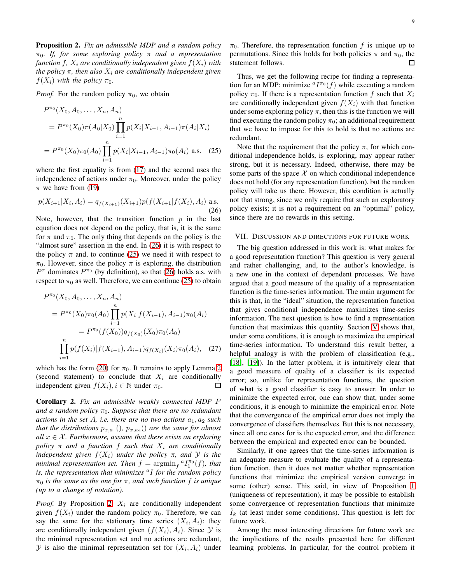<span id="page-8-2"></span>Proposition 2. *Fix an admissible MDP and a random policy* π0*. If, for some exploring policy* π *and a representation function* f,  $X_i$  *are conditionally independent given*  $f(X_i)$  *with the policy*  $\pi$ *, then also*  $X_i$  *are conditionally independent given*  $f(X_i)$  *with the policy*  $\pi_0$ *.* 

*Proof.* For the random policy  $\pi_0$ , we obtain

$$
P^{\pi_0}(X_0, A_0, \dots, X_n, A_n)
$$
  
=  $P^{\pi_0}(X_0)\pi(A_0|X_0) \prod_{i=1}^n p(X_i|X_{i-1}, A_{i-1})\pi(A_i|X_i)$   
=  $P^{\pi_0}(X_0)\pi_0(A_0) \prod_{i=1}^n p(X_i|X_{i-1}, A_{i-1})\pi_0(A_i)$  a.s. (25)

where the first equality is from [\(17\)](#page-6-2) and the second uses the independence of actions under  $\pi_0$ . Moreover, under the policy  $\pi$  we have from [\(19\)](#page-6-4)

<span id="page-8-0"></span>
$$
p(X_{i+1}|X_i, A_i) = q_{f(X_{i+1})}(X_{i+1})p(f(X_{i+1}|f(X_i), A_i) \text{ a.s.}
$$
\n(26)

Note, however, that the transition function  $p$  in the last equation does not depend on the policy, that is, it is the same for  $\pi$  and  $\pi_0$ . The only thing that depends on the policy is the "almost sure" assertion in the end. In [\(26\)](#page-8-0) it is with respect to the policy  $\pi$  and, to continue [\(25\)](#page-8-1) we need it with respect to  $\pi_0$ . However, since the policy  $\pi$  is exploring, the distribution  $P^{\pi}$  dominates  $P^{\pi_0}$  (by definition), so that [\(26\)](#page-8-0) holds a.s. with respect to  $\pi_0$  as well. Therefore, we can continue [\(25\)](#page-8-1) to obtain

$$
P^{\pi_0}(X_0, A_0, \dots, X_n, A_n)
$$
  
=  $P^{\pi_0}(X_0)\pi_0(A_0) \prod_{i=1}^n p(X_i|f(X_{i-1}), A_{i-1})\pi_0(A_i)$   
=  $P^{\pi_0}(f(X_0))q_{f(X_0)}(X_0)\pi_0(A_0)$   
 $\prod_{i=1}^n p(f(X_i)|f(X_{i-1}), A_{i-1})q_{f(X_i)}(X_i)\pi_0(A_i), (27)$ 

which has the form [\(20\)](#page-7-0) for  $\pi_0$ . It remains to apply Lemma [2](#page-6-5) (second statement) to conclude that  $X_i$  are conditionally independent given  $f(X_i)$ ,  $i \in \mathbb{N}$  under  $\pi_0$ .  $\Box$ 

Corollary 2. *Fix an admissible weakly connected MDP* P *and a random policy*  $\pi_0$ *. Suppose that there are no redundant actions in the set A, i.e. there are no two actions*  $a_1, a_2$  *such* that the distributions  $p_{x,a_1}()$ ,  $p_{x,a_2}()$  are the same for almost *all*  $x \in \mathcal{X}$ *. Furthermore, assume that there exists an exploring policy*  $\pi$  *and a function*  $f$  *such that*  $X_i$  *are conditionally independent given*  $f(X_i)$  *under the policy*  $\pi$ *, and*  $\mathcal Y$  *is the minimal representation set. Then*  $f = \operatorname{argmin}_f {}^aI_1^{\pi_0}(f)$ , that is, the representation that minimizes <sup>a</sup>I for the random policy  $\pi_0$  *is the same as the one for*  $\pi$ *, and such function* f *is unique (up to a change of notation).*

*Proof.* By Proposition [2,](#page-8-2)  $X_i$  are conditionally independent given  $f(X_i)$  under the random policy  $\pi_0$ . Therefore, we can say the same for the stationary time series  $(X_i, A_i)$ : they are conditionally independent given  $(f(X_i), A_i)$ . Since  $\mathcal Y$  is the minimal representation set and no actions are redundant,  $Y$  is also the minimal representation set for  $(X_i, A_i)$  under  $\pi_0$ . Therefore, the representation function f is unique up to permutations. Since this holds for both policies  $\pi$  and  $\pi_0$ , the statement follows. П

Thus, we get the following recipe for finding a representation for an MDP: minimize  ${}^aI^{\pi_0}(f)$  while executing a random policy  $\pi_0$ . If there is a representation function f such that  $X_i$ are conditionally independent given  $f(X_i)$  with that function under some exploring policy  $\pi$ , then this is the function we will find executing the random policy  $\pi_0$ ; an additional requirement that we have to impose for this to hold is that no actions are redundant.

<span id="page-8-1"></span>Note that the requirement that the policy  $\pi$ , for which conditional independence holds, is exploring, may appear rather strong, but it is necessary. Indeed, otherwise, there may be some parts of the space  $X$  on which conditional independence does not hold (for any representation function), but the random policy will take us there. However, this condition is actually not that strong, since we only require that such an exploratory policy exists; it is not a requirement on an "optimal" policy, since there are no rewards in this setting.

#### VII. DISCUSSION AND DIRECTIONS FOR FUTURE WORK

The big question addressed in this work is: what makes for a good representation function? This question is very general and rather challenging, and, to the author's knowledge, is a new one in the context of dependent processes. We have argued that a good measure of the quality of a representation function is the time-series information. The main argument for this is that, in the "ideal" situation, the representation function that gives conditional independence maximizes time-series information. The next question is how to find a representation function that maximizes this quantity. Section [V](#page-5-0) shows that, under some conditions, it is enough to maximize the empirical time-series information. To understand this result better, a helpful analogy is with the problem of classification (e.g., [\[18\]](#page-11-12), [\[19\]](#page-11-13)). In the latter problem, it is intuitively clear that a good measure of quality of a classifier is its expected error; so, unlike for representation functions, the question of what is a good classifier is easy to answer. In order to minimize the expected error, one can show that, under some conditions, it is enough to minimize the empirical error. Note that the convergence of the empirical error does not imply the convergence of classifiers themselves. But this is not necessary, since all one cares for is the expected error, and the difference between the empirical and expected error can be bounded.

Similarly, if one agrees that the time-series information is an adequate measure to evaluate the quality of a representation function, then it does not matter whether representation functions that minimize the empirical version converge in some (other) sense. This said, in view of Proposition [1](#page-3-9) (uniqueness of representation), it may be possible to establish some convergence of representation functions that minimize  $I_k$  (at least under some conditions). This question is left for future work.

Among the most interesting directions for future work are the implications of the results presented here for different learning problems. In particular, for the control problem it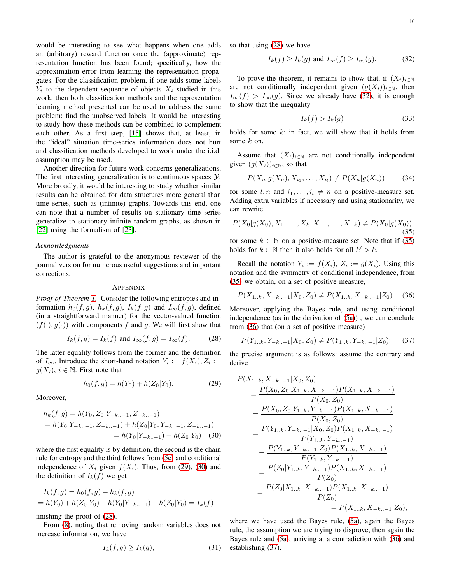would be interesting to see what happens when one adds an (arbitrary) reward function once the (approximate) representation function has been found; specifically, how the approximation error from learning the representation propagates. For the classification problem, if one adds some labels  $Y_i$  to the dependent sequence of objects  $X_i$  studied in this work, then both classification methods and the representation learning method presented can be used to address the same problem: find the unobserved labels. It would be interesting to study how these methods can be combined to complement each other. As a first step, [\[15\]](#page-11-9) shows that, at least, in the "ideal" situation time-series information does not hurt and classification methods developed to work under the i.i.d. assumption may be used.

Another direction for future work concerns generalizations. The first interesting generalization is to continuous spaces  $\mathcal{Y}$ . More broadly, it would be interesting to study whether similar results can be obtained for data structures more general than time series, such as (infinite) graphs. Towards this end, one can note that a number of results on stationary time series generalize to stationary infinite random graphs, as shown in [\[22\]](#page-11-16) using the formalism of [\[23\]](#page-11-17).

### *Acknowledgments*

The author is grateful to the anonymous reviewer of the journal version for numerous useful suggestions and important corrections.

#### APPENDIX

*Proof of Theorem [1.](#page-4-2)* Consider the following entropies and information  $h_0(f, g)$ ,  $h_k(f, g)$ ,  $I_k(f, g)$  and  $I_\infty(f, g)$ , defined (in a straightforward manner) for the vector-valued function  $(f(\cdot), g(\cdot))$  with components f and g. We will first show that

<span id="page-9-2"></span>
$$
I_k(f,g) = I_k(f) \text{ and } I_{\infty}(f,g) = I_{\infty}(f). \tag{28}
$$

The latter equality follows from the former and the definition of  $I_{\infty}$ . Introduce the short-hand notation  $Y_i := f(X_i)$ ,  $Z_i :=$  $g(X_i)$ ,  $i \in \mathbb{N}$ . First note that

<span id="page-9-0"></span>
$$
h_0(f,g) = h(Y_0) + h(Z_0|Y_0). \tag{29}
$$

Moreover,

$$
h_k(f,g) = h(Y_0, Z_0 | Y_{-k...-1}, Z_{-k...-1})
$$
  
=  $h(Y_0 | Y_{-k...-1}, Z_{-k...-1}) + h(Z_0 | Y_0, Y_{-k...-1}, Z_{-k...-1})$   
=  $h(Y_0 | Y_{-k...-1}) + h(Z_0 | Y_0)$  (30)

where the first equality is by definition, the second is the chain rule for entropy and the third follows from [\(5c\)](#page-3-4) and conditional independence of  $X_i$  given  $f(X_i)$ . Thus, from [\(29\)](#page-9-0), [\(30\)](#page-9-1) and the definition of  $I_k(f)$  we get

$$
I_k(f,g) = h_0(f,g) - h_k(f,g)
$$
  
=  $h(Y_0) + h(Z_0|Y_0) - h(Y_0|Y_{-k...-1}) - h(Z_0|Y_0) = I_k(f)$ 

finishing the proof of [\(28\)](#page-9-2).

From [\(8\)](#page-4-6), noting that removing random variables does not increase information, we have

$$
I_k(f,g) \ge I_k(g),\tag{31}
$$

so that using [\(28\)](#page-9-2) we have

<span id="page-9-3"></span>
$$
I_k(f) \ge I_k(g) \text{ and } I_{\infty}(f) \ge I_{\infty}(g). \tag{32}
$$

To prove the theorem, it remains to show that, if  $(X_i)_{i\in\mathbb{N}}$ are not conditionally independent given  $(g(X_i))_{i\in\mathbb{N}}$ , then  $I_{\infty}(f) > I_{\infty}(g)$ . Since we already have [\(32\)](#page-9-3), it is enough to show that the inequality

$$
I_k(f) > I_k(g) \tag{33}
$$

holds for some  $k$ ; in fact, we will show that it holds from some k on.

Assume that  $(X_i)_{i\in\mathbb{N}}$  are not conditionally independent given  $(g(X_i))_{i\in\mathbb{N}}$ , so that

$$
P(X_n|g(X_n), X_{i_1}, \dots, X_{i_l}) \neq P(X_n|g(X_n))
$$
 (34)

for some l, n and  $i_1, \ldots, i_l \neq n$  on a positive-measure set. Adding extra variables if necessary and using stationarity, we can rewrite

<span id="page-9-4"></span>
$$
P(X_0|g(X_0), X_1, \dots, X_k, X_{-1}, \dots, X_{-k}) \neq P(X_0|g(X_0))
$$
\n(35)

for some  $k \in \mathbb{N}$  on a positive-measure set. Note that if [\(35\)](#page-9-4) holds for  $k \in \mathbb{N}$  then it also holds for all  $k' > k$ .

Recall the notation  $Y_i := f(X_i)$ ,  $Z_i := g(X_i)$ . Using this notation and the symmetry of conditional independence, from [\(35\)](#page-9-4) we obtain, on a set of positive measure,

<span id="page-9-5"></span>
$$
P(X_{1..k}, X_{-k..-1} | X_0, Z_0) \neq P(X_{1..k}, X_{-k..-1} | Z_0).
$$
 (36)

Moreover, applying the Bayes rule, and using conditional independence (as in the derivation of [\(5a\)](#page-3-2)) , we can conclude from [\(36\)](#page-9-5) that (on a set of positive measure)

<span id="page-9-6"></span>
$$
P(Y_{1..k}, Y_{-k..-1} | X_0, Z_0) \neq P(Y_{1..k}, Y_{-k..-1} | Z_0); \quad (37)
$$

the precise argument is as follows: assume the contrary and derive

<span id="page-9-1"></span>
$$
P(X_{1..k}, X_{-k..-1}|X_0, Z_0)
$$
  
= 
$$
\frac{P(X_0, Z_0|X_{1..k}, X_{-k..-1})P(X_{1..k}, X_{-k..-1})}{P(X_0, Z_0)}
$$
  
= 
$$
\frac{P(X_0, Z_0|Y_{1..k}, Y_{-k..-1})P(X_{1..k}, X_{-k..-1})}{P(X_0, Z_0)}
$$
  
= 
$$
\frac{P(Y_{1..k}, Y_{-k..-1}|X_0, Z_0)P(X_{1..k}, X_{-k..-1})}{P(Y_{1..k}, Y_{-k..-1})}
$$
  
= 
$$
\frac{P(Y_{1..k}, Y_{-k..-1}|Z_0)P(X_{1..k}, X_{-k..-1})}{P(Y_{1..k}, Y_{-k..-1})P(X_{1..k}, X_{-k..-1})}
$$
  
= 
$$
\frac{P(Z_0|Y_{1..k}, Y_{-k..-1})P(X_{1..k}, X_{-k..-1})}{P(Z_0)}
$$
  
= 
$$
\frac{P(Z_0|X_{1..k}, X_{-k..-1})P(X_{1..k}, X_{-k..-1})}{P(Z_0)}
$$
  
= 
$$
P(X_{1..k}, X_{-k..-1}|Z_0),
$$

where we have used the Bayes rule, [\(5a\)](#page-3-2), again the Bayes rule, the assumption we are trying to disprove, then again the Bayes rule and [\(5a\)](#page-3-2); arriving at a contradiction with [\(36\)](#page-9-5) and establishing [\(37\)](#page-9-6).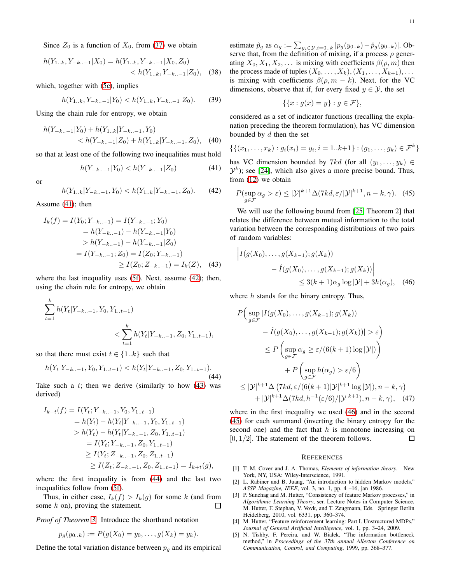Since  $Z_0$  is a function of  $X_0$ , from [\(37\)](#page-9-6) we obtain

$$
h(Y_{1..k}, Y_{-k...-1}|X_0) = h(Y_{1..k}, Y_{-k...-1}|X_0, Z_0)
$$
  

$$
< h(Y_{1..k}, Y_{-k...-1}|Z_0), \quad (38)
$$

which, together with  $(5c)$ , implies

$$
h(Y_{1..k}, Y_{-k...1}|Y_0) < h(Y_{1..k}, Y_{-k...1}|Z_0). \tag{39}
$$

Using the chain rule for entropy, we obtain

$$
h(Y_{-k...-1}|Y_0) + h(Y_{1..k}|Y_{-k...-1}, Y_0)
$$
  

$$
< h(Y_{-k...-1}|Z_0) + h(Y_{1..k}|Y_{-k...-1}, Z_0), \quad (40)
$$

so that at least one of the following two inequalities must hold

<span id="page-10-5"></span>
$$
h(Y_{-k...-1}|Y_0) < h(Y_{-k...-1}|Z_0) \tag{41}
$$

or

<span id="page-10-6"></span>
$$
h(Y_{1..k}|Y_{-k..-1}, Y_0) < h(Y_{1..k}|Y_{-k..-1}, Z_0). \tag{42}
$$

Assume [\(41\)](#page-10-5); then

$$
I_k(f) = I(Y_0; Y_{-k...-1}) = I(Y_{-k...-1}; Y_0)
$$
  
=  $h(Y_{-k...-1}) - h(Y_{-k...-1}|Y_0)$   
>  $h(Y_{-k...-1}) - h(Y_{-k...-1}|Z_0)$   
=  $I(Y_{-k...-1}; Z_0) = I(Z_0; Y_{-k...-1})$   
 $\geq I(Z_0; Z_{-k...-1}) = I_k(Z),$  (43)

where the last inequality uses [\(5f\)](#page-3-7). Next, assume [\(42\)](#page-10-6); then, using the chain rule for entropy, we obtain

$$
\sum_{t=1}^{k} h(Y_t|Y_{-k...-1}, Y_0, Y_{1..t-1})
$$
  

$$
< \sum_{t=1}^{k} h(Y_t|Y_{-k...-1}, Z_0, Y_{1..t-1}),
$$

so that there must exist  $t \in \{1..k\}$  such that

<span id="page-10-8"></span>
$$
h(Y_t|Y_{-k\ldots-1}, Y_0, Y_{1..t-1}) < h(Y_t|Y_{-k\ldots-1}, Z_0, Y_{1..t-1}).\tag{44}
$$

Take such a  $t$ ; then we derive (similarly to how  $(43)$  was derived)

$$
I_{k+t}(f) = I(Y_t; Y_{-k...-1}, Y_0, Y_{1..t-1})
$$
  
=  $h(Y_t) - h(Y_t|Y_{-k...-1}, Y_0, Y_{1..t-1})$   
>  $h(Y_t) - h(Y_t|Y_{-k...-1}, Z_0, Y_{1..t-1})$   
=  $I(Y_t; Y_{-k...-1}, Z_0, Y_{1..t-1})$   
 $\geq I(Y_t; Z_{-k...-1}, Z_0, Z_{1..t-1})$   
 $\geq I(Z_t; Z_{-k...-1}, Z_0, Z_{1..t-1}) = I_{k+t}(g),$ 

where the first inequality is from [\(44\)](#page-10-8) and the last two inequalities follow from [\(5f\)](#page-3-7).

Thus, in either case,  $I_k(f) > I_k(g)$  for some k (and from some  $k$  on), proving the statement. П

*Proof of Theorem [3.](#page-5-4)* Introduce the shorthand notation

$$
p_g(y_{0..k}) := P(g(X_0) = y_0, \ldots, g(X_k) = y_k).
$$

Define the total variation distance between  $p<sub>q</sub>$  and its empirical

estimate  $\hat{p}_g$  as  $\alpha_g := \sum_{y_i \in \mathcal{Y}, i=0..k} |p_g(y_{0..k}) - \hat{p}_g(y_{0..k})|$ . Observe that, from the definition of mixing, if a process  $\rho$  generating  $X_0, X_1, X_2, \ldots$  is mixing with coefficients  $\beta(\rho, m)$  then the process made of tuples  $(X_0, \ldots, X_k), (X_1, \ldots, X_{k+1}), \ldots$ is mixing with coefficients  $\beta(\rho, m - k)$ . Next, for the VC dimensions, observe that if, for every fixed  $y \in \mathcal{Y}$ , the set

$$
\{\{x: g(x) = y\} : g \in \mathcal{F}\},\
$$

considered as a set of indicator functions (recalling the explanation preceding the theorem formulation), has VC dimension bounded by  $d$  then the set

$$
\{\{(x_1,\ldots,x_k): g_i(x_i)=y_i, i=1..k+1\} : (g_1,\ldots,g_k)\in \mathcal{F}^k\}
$$

has VC dimension bounded by 7kd (for all  $(y_1, \ldots, y_k) \in$  $(\mathcal{Y}^k)$ ; see [\[24\]](#page-11-18), which also gives a more precise bound. Thus, from [\(12\)](#page-5-2) we obtain

<span id="page-10-10"></span>
$$
P(\sup_{g \in \mathcal{F}} \alpha_g > \varepsilon) \le |\mathcal{Y}|^{k+1} \Delta(7kd, \varepsilon/|\mathcal{Y}|^{k+1}, n - k, \gamma). \tag{45}
$$

We will use the following bound from [\[25,](#page-11-19) Theorem 2] that relates the difference between mutual information to the total variation between the corresponding distributions of two pairs of random variables:

<span id="page-10-7"></span>
$$
\left| I(g(X_0),..., g(X_{k-1}); g(X_k)) - \hat{I}(g(X_0),..., g(X_{k-1}); g(X_k)) \right|
$$
  

$$
\leq 3(k+1)\alpha_g \log |\mathcal{Y}| + 3h(\alpha_g), \quad (46)
$$

where  $h$  stands for the binary entropy. Thus,

<span id="page-10-9"></span>
$$
P\Big(\sup_{g\in\mathcal{F}}|I(g(X_0),\ldots,g(X_{k-1});g(X_k)) - \hat{I}(g(X_0),\ldots,g(X_{k-1});g(X_k))| > \varepsilon\Big) \leq P\Big(\sup_{g\in\mathcal{F}}\alpha_g \geq \varepsilon/(6(k+1)\log|\mathcal{Y}|)\Big) + P\Big(\sup_{g\in\mathcal{F}}h(\alpha_g) > \varepsilon/6\Big) \leq |\mathcal{Y}|^{k+1}\Delta\left(7kd, \varepsilon/(6(k+1)|\mathcal{Y}|^{k+1}\log|\mathcal{Y}|), n-k, \gamma\right) + |\mathcal{Y}|^{k+1}\Delta(7kd, h^{-1}(\varepsilon/6)/|\mathcal{Y}|^{k+1}), n-k, \gamma), \quad (47)
$$

where in the first inequality we used [\(46\)](#page-10-9) and in the second [\(45\)](#page-10-10) for each summand (inverting the binary entropy for the second one) and the fact that  $h$  is monotone increasing on  $[0, 1/2]$ . The statement of the theorem follows.  $\Box$ 

#### **REFERENCES**

- <span id="page-10-0"></span>[1] T. M. Cover and J. A. Thomas, *Elements of information theory*. New York, NY, USA: Wiley-Interscience, 1991.
- <span id="page-10-1"></span>[2] L. Rabiner and B. Juang, "An introduction to hidden Markov models," *ASSP Magazine, IEEE*, vol. 3, no. 1, pp. 4 –16, jan 1986.
- <span id="page-10-2"></span>[3] P. Sunehag and M. Hutter, "Consistency of feature Markov processes," in *Algorithmic Learning Theory*, ser. Lecture Notes in Computer Science, M. Hutter, F. Stephan, V. Vovk, and T. Zeugmann, Eds. Springer Berlin Heidelberg, 2010, vol. 6331, pp. 360–374.
- <span id="page-10-3"></span>[4] M. Hutter, "Feature reinforcement learning: Part I. Unstructured MDPs," *Journal of General Artificial Intelligence*, vol. 1, pp. 3–24, 2009.
- <span id="page-10-4"></span>[5] N. Tishby, F. Pereira, and W. Bialek, "The information bottleneck method," in *Proceedings of the 37th annual Allerton Conference on Communication, Control, and Computing*, 1999, pp. 368–377.